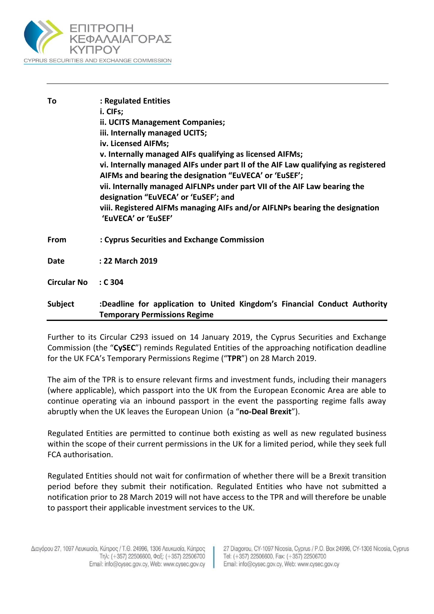

| To                 | : Regulated Entities<br>i. CIFs;<br>ii. UCITS Management Companies;<br>iii. Internally managed UCITS;<br>iv. Licensed AIFMs;<br>v. Internally managed AIFs qualifying as licensed AIFMs;<br>vi. Internally managed AIFs under part II of the AIF Law qualifying as registered<br>AIFMs and bearing the designation "EuVECA' or 'EuSEF';<br>vii. Internally managed AIFLNPs under part VII of the AIF Law bearing the<br>designation "EuVECA' or 'EuSEF'; and<br>viii. Registered AIFMs managing AIFs and/or AIFLNPs bearing the designation<br>'EuVECA' or 'EuSEF' |
|--------------------|--------------------------------------------------------------------------------------------------------------------------------------------------------------------------------------------------------------------------------------------------------------------------------------------------------------------------------------------------------------------------------------------------------------------------------------------------------------------------------------------------------------------------------------------------------------------|
| From               | : Cyprus Securities and Exchange Commission                                                                                                                                                                                                                                                                                                                                                                                                                                                                                                                        |
| Date               | : 22 March 2019                                                                                                                                                                                                                                                                                                                                                                                                                                                                                                                                                    |
| <b>Circular No</b> | : C <sub>304</sub>                                                                                                                                                                                                                                                                                                                                                                                                                                                                                                                                                 |
| Subject            | :Deadline for application to United Kingdom's Financial Conduct Authority<br><b>Temporary Permissions Regime</b>                                                                                                                                                                                                                                                                                                                                                                                                                                                   |

Further to its Circular C293 issued on 14 January 2019, the Cyprus Securities and Exchange Commission (the "**CySEC**") reminds Regulated Entities of the approaching notification deadline for the UK FCA's Temporary Permissions Regime ("**TPR**") on 28 March 2019.

The aim of the TPR is to ensure relevant firms and investment funds, including their managers (where applicable), which passport into the UK from the European Economic Area are able to continue operating via an inbound passport in the event the passporting regime falls away abruptly when the UK leaves the European Union (a "**no-Deal Brexit**").

Regulated Entities are permitted to continue both existing as well as new regulated business within the scope of their current permissions in the UK for a limited period, while they seek full FCA authorisation.

Regulated Entities should not wait for confirmation of whether there will be a Brexit transition period before they submit their notification. Regulated Entities who have not submitted a notification prior to 28 March 2019 will not have access to the TPR and will therefore be unable to passport their applicable investment services to the UK.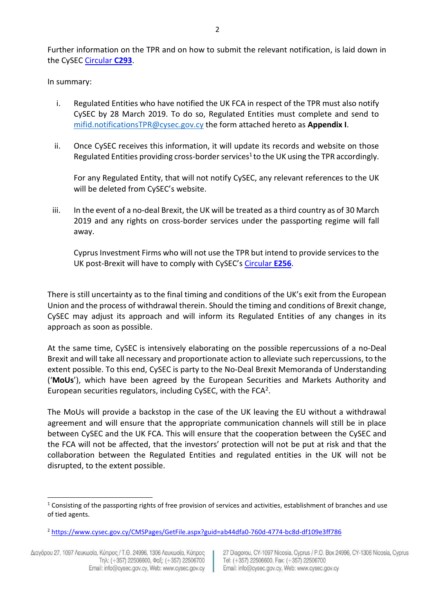Further information on the TPR and on how to submit the relevant notification, is laid down in the CySEC [Circular](https://www.cysec.gov.cy/CMSPages/GetFile.aspx?guid=09a6ee0f-e98d-4906-ab2f-ef749b49449c) **C293**.

In summary:

- i. Regulated Entities who have notified the UK FCA in respect of the TPR must also notify CySEC by 28 March 2019. To do so, Regulated Entities must complete and send to [mifid.notificationsTPR@cysec.gov.cy](mailto:mifid.notificationsTPR@cysec.gov.cy) the form attached hereto as **Appendix I**.
- ii. Once CySEC receives this information, it will update its records and website on those Regulated Entities providing cross-border services<sup>1</sup> to the UK using the TPR accordingly.

For any Regulated Entity, that will not notify CySEC, any relevant references to the UK will be deleted from CySEC's website.

iii. In the event of a no-deal Brexit, the UK will be treated as a third country as of 30 March 2019 and any rights on cross-border services under the passporting regime will fall away.

Cyprus Investment Firms who will not use the TPR but intend to provide services to the UK post-Brexit will have to comply with CySEC's [Circular](https://www.cysec.gov.cy/CMSPages/GetFile.aspx?guid=e8ee6c8e-880d-4593-8448-ebd86516991f) **E256**.

There is still uncertainty as to the final timing and conditions of the UK's exit from the European Union and the process of withdrawal therein. Should the timing and conditions of Brexit change, CySEC may adjust its approach and will inform its Regulated Entities of any changes in its approach as soon as possible.

At the same time, CySEC is intensively elaborating on the possible repercussions of a no-Deal Brexit and will take all necessary and proportionate action to alleviate such repercussions, to the extent possible. To this end, CySEC is party to the No-Deal Brexit Memoranda of Understanding ('**MoUs**'), which have been agreed by the European Securities and Markets Authority and European securities regulators, including CySEC, with the FCA<sup>2</sup>.

The MoUs will provide a backstop in the case of the UK leaving the EU without a withdrawal agreement and will ensure that the appropriate communication channels will still be in place between CySEC and the UK FCA. This will ensure that the cooperation between the CySEC and the FCA will not be affected, that the investors' protection will not be put at risk and that the collaboration between the Regulated Entities and regulated entities in the UK will not be disrupted, to the extent possible.

l

27 Diagorou, CY-1097 Nicosia, Cyprus / P.O. Box 24996, CY-1306 Nicosia, Cyprus Tel: (+357) 22506600, Fax: (+357) 22506700 Email: info@cysec.gov.cy, Web: www.cysec.gov.cy

 $1$  Consisting of the passporting rights of free provision of services and activities, establishment of branches and use of tied agents.

<sup>2</sup> <https://www.cysec.gov.cy/CMSPages/GetFile.aspx?guid=ab44dfa0-760d-4774-bc8d-df109e3ff786>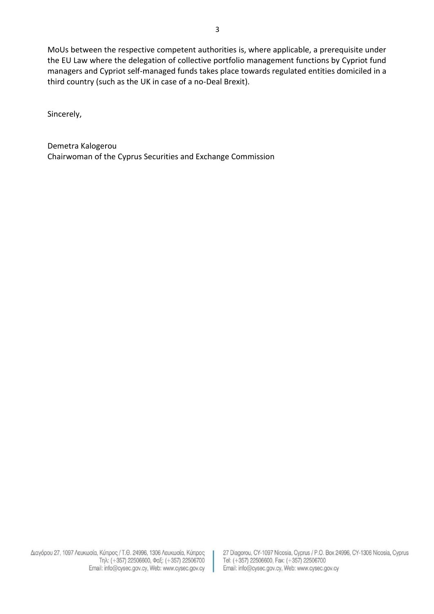MoUs between the respective competent authorities is, where applicable, a prerequisite under the EU Law where the delegation of collective portfolio management functions by Cypriot fund managers and Cypriot self-managed funds takes place towards regulated entities domiciled in a third country (such as the UK in case of a no-Deal Brexit).

Sincerely,

Demetra Kalogerou Chairwoman of the Cyprus Securities and Exchange Commission